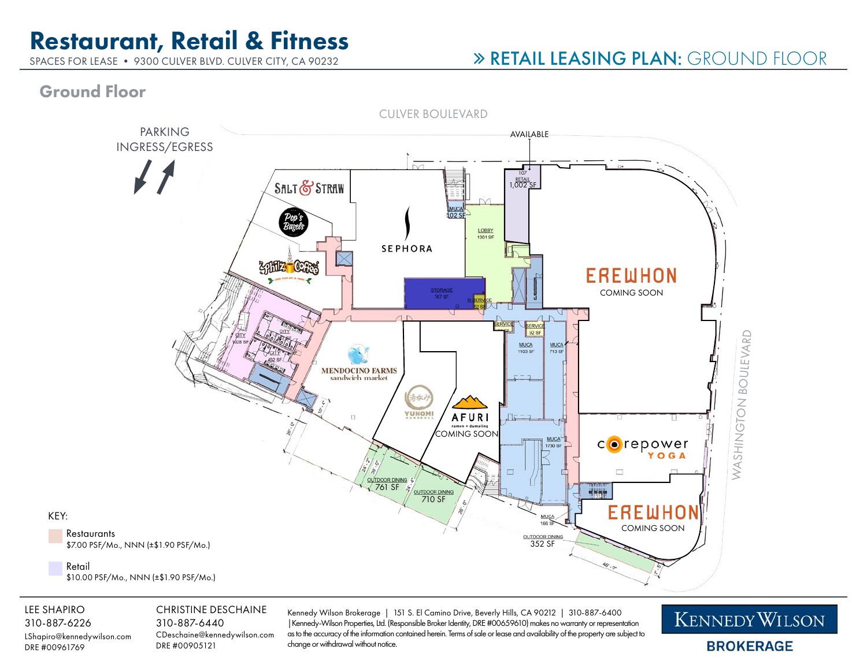# Restaurant, Retail & Fitness

SPACES FOR LEASE • 9300 CULVER BLVD. CULVER CITY, CA 90232

## RETAIL LEASING PLAN: GROUND FLOOR

### Ground Floor



#### LEE SHAPIRO

KEY:

310-887-6226 LShapiro@kennedywilson.com DRE #00961769

#### CHRISTINE DESCHAINE

310-887-6440 CDeschaine@kennedywilson.com DRE #00905121

Kennedy Wilson Brokerage | 151 S. El Camino Drive, Beverly Hills, CA 90212 | 310-887-6400 |Kennedy-Wilson Properties, Ltd. (Responsible Broker Identity, DRE #00659610) makes no warranty or representation as to the accuracy of the information contained herein. Terms of sale or lease and availability of the property are subject to change or withdrawal without notice.

**KENNEDY WILSON BROKERAGE**